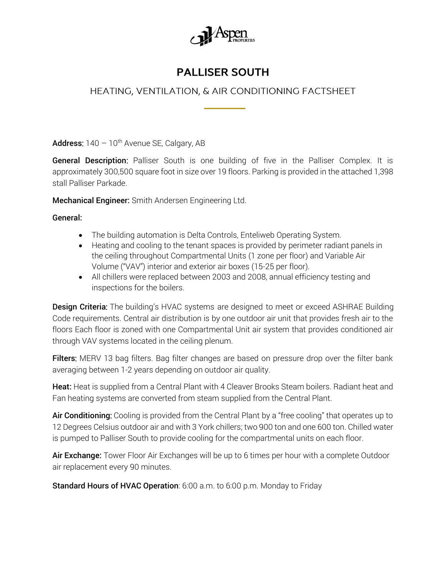

## **PALLISER SOUTH**

## HEATING, VENTILATION, & AIR CONDITIONING FACTSHEET

Address:  $140 - 10$ <sup>th</sup> Avenue SE, Calgary, AB

General Description: Palliser South is one building of five in the Palliser Complex. It is approximately 300,500 square foot in size over 19 floors. Parking is provided in the attached 1,398 stall Palliser Parkade.

Mechanical Engineer: Smith Andersen Engineering Ltd.

General:

- The building automation is Delta Controls, Enteliweb Operating System.
- Heating and cooling to the tenant spaces is provided by perimeter radiant panels in the ceiling throughout Compartmental Units (1 zone per floor) and Variable Air Volume ("VAV") interior and exterior air boxes (15-25 per floor).
- All chillers were replaced between 2003 and 2008, annual efficiency testing and inspections for the boilers.

**Design Criteria:** The building's HVAC systems are designed to meet or exceed ASHRAE Building Code requirements. Central air distribution is by one outdoor air unit that provides fresh air to the floors Each floor is zoned with one Compartmental Unit air system that provides conditioned air through VAV systems located in the ceiling plenum.

Filters: MERV 13 bag filters. Bag filter changes are based on pressure drop over the filter bank averaging between 1-2 years depending on outdoor air quality.

Heat: Heat is supplied from a Central Plant with 4 Cleaver Brooks Steam boilers. Radiant heat and Fan heating systems are converted from steam supplied from the Central Plant.

Air Conditioning: Cooling is provided from the Central Plant by a "free cooling" that operates up to 12 Degrees Celsius outdoor air and with 3 York chillers; two 900 ton and one 600 ton. Chilled water is pumped to Palliser South to provide cooling for the compartmental units on each floor.

Air Exchange: Tower Floor Air Exchanges will be up to 6 times per hour with a complete Outdoor air replacement every 90 minutes.

Standard Hours of HVAC Operation: 6:00 a.m. to 6:00 p.m. Monday to Friday